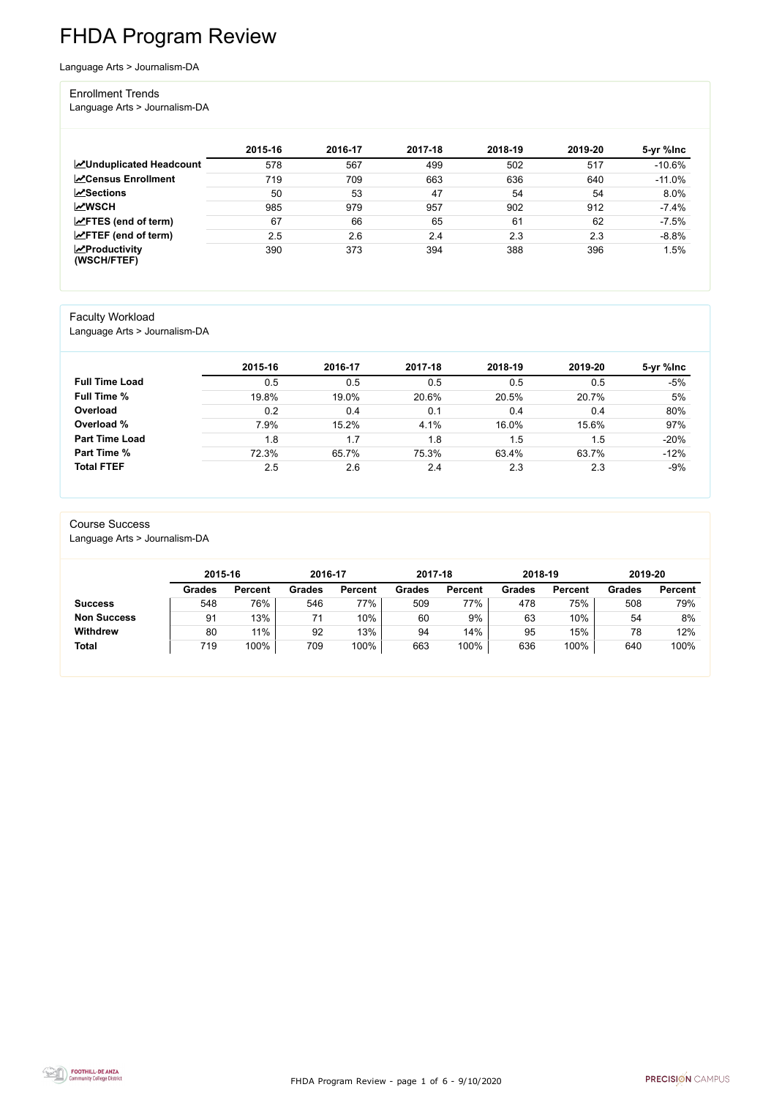FHDA Program Review - page 1 of 6 - 9/10/2020



# FHDA Program Review

Language Arts > Journalism-DA

#### Enrollment Trends

Language Arts > Journalism-DA

|                                        | 2015-16 | 2016-17 | 2017-18 | 2018-19 | 2019-20 | 5-yr %lnc |
|----------------------------------------|---------|---------|---------|---------|---------|-----------|
| <b>ZUnduplicated Headcount</b>         | 578     | 567     | 499     | 502     | 517     | $-10.6%$  |
| <b>ZCensus Enrollment</b>              | 719     | 709     | 663     | 636     | 640     | $-11.0%$  |
| <b>ZSections</b>                       | 50      | 53      | 47      | 54      | 54      | 8.0%      |
| <b>MWSCH</b>                           | 985     | 979     | 957     | 902     | 912     | $-7.4%$   |
| $\angle$ FTES (end of term)            | 67      | 66      | 65      | 61      | 62      | $-7.5%$   |
| $\angle$ FTEF (end of term)            | 2.5     | 2.6     | 2.4     | 2.3     | 2.3     | $-8.8%$   |
| $\sqrt{2}$ Productivity<br>(WSCH/FTEF) | 390     | 373     | 394     | 388     | 396     | 1.5%      |

#### Faculty Workload

Language Arts > Journalism-DA

|                       | 2015-16 | 2016-17 | 2017-18 | 2018-19 | 2019-20 | 5-yr %lnc |
|-----------------------|---------|---------|---------|---------|---------|-----------|
| <b>Full Time Load</b> | 0.5     | 0.5     | 0.5     | 0.5     | 0.5     | -5%       |
| <b>Full Time %</b>    | 19.8%   | 19.0%   | 20.6%   | 20.5%   | 20.7%   | 5%        |
| Overload              | 0.2     | 0.4     | 0.1     | 0.4     | 0.4     | 80%       |
| Overload %            | 7.9%    | 15.2%   | 4.1%    | 16.0%   | 15.6%   | 97%       |
| <b>Part Time Load</b> | 1.8     | 1.7     | 1.8     | 1.5     | 1.5     | $-20%$    |
| <b>Part Time %</b>    | 72.3%   | 65.7%   | 75.3%   | 63.4%   | 63.7%   | $-12%$    |
| <b>Total FTEF</b>     | 2.5     | 2.6     | 2.4     | 2.3     | 2.3     | $-9%$     |

#### Course Success

|                    |               | 2015-16        |               | 2016-17        | 2017-18       |                | 2018-19       |                | 2019-20 |                |
|--------------------|---------------|----------------|---------------|----------------|---------------|----------------|---------------|----------------|---------|----------------|
|                    | <b>Grades</b> | <b>Percent</b> | <b>Grades</b> | <b>Percent</b> | <b>Grades</b> | <b>Percent</b> | <b>Grades</b> | <b>Percent</b> | Grades  | <b>Percent</b> |
| <b>Success</b>     | 548           | 76%            | 546           | 77%            | 509           | 77%            | 478           | 75%            | 508     | 79%            |
| <b>Non Success</b> | 91            | 13%            | 71            | 10%            | 60            | 9%             | 63            | 10%            | 54      | 8%             |
| <b>Withdrew</b>    | 80            | 11%            | 92            | 13%            | 94            | 14%            | 95            | 15%            | 78      | 12%            |
| <b>Total</b>       | 719           | 100%           | 709           | 100%           | 663           | 100%           | 636           | 100%           | 640     | 100%           |

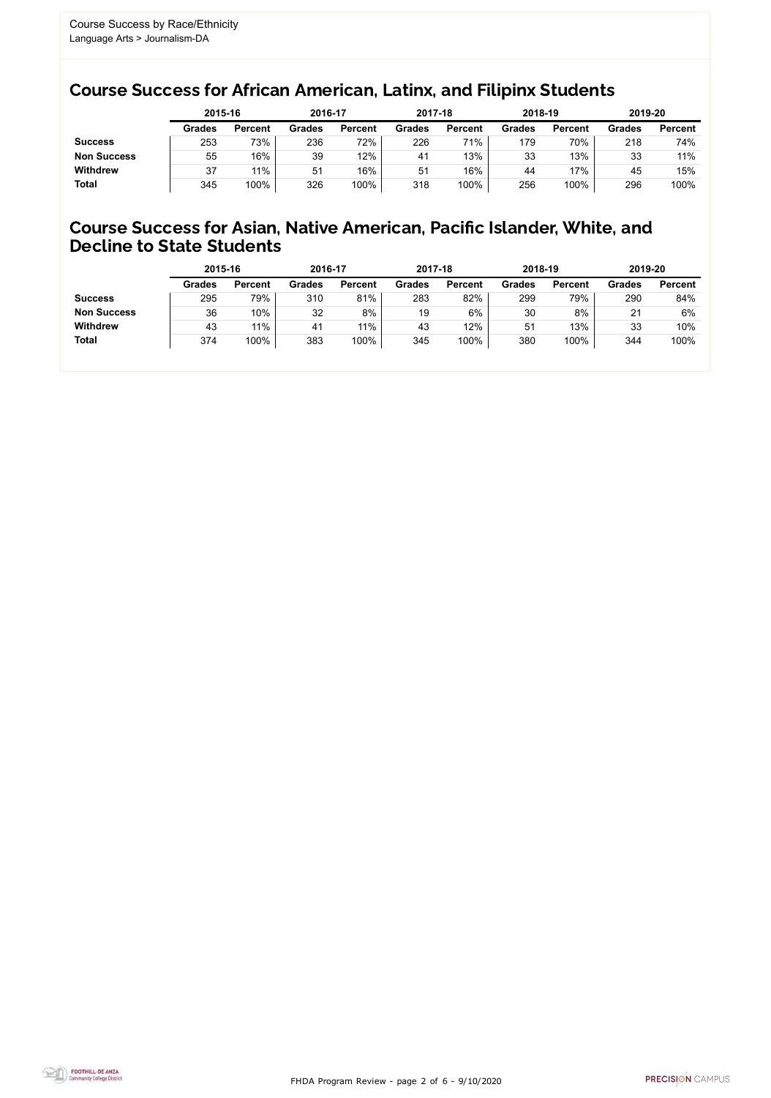FHDA Program Review - page 2 of 6 - 9/10/2020



### Course Success for African American, Latinx, and Filipinx Students

#### Course Success for Asian, Native American, Pacific Islander, White, and Decline to State Students

|                    |               | 2015-16        |               | 2016-17        |                | 2017-18        | 2018-19       |                | 2019-20       |                |
|--------------------|---------------|----------------|---------------|----------------|----------------|----------------|---------------|----------------|---------------|----------------|
|                    | <b>Grades</b> | <b>Percent</b> | <b>Grades</b> | <b>Percent</b> | <b>Grades</b>  | <b>Percent</b> | <b>Grades</b> | <b>Percent</b> | <b>Grades</b> | <b>Percent</b> |
| <b>Success</b>     | 253           | 73%            | 236           | 72%            | 226            | 71%            | 179           | 70%            | 218           | 74%            |
| <b>Non Success</b> | 55            | 16%            | 39            | 12%            | 4 <sup>1</sup> | 13%            | 33            | 13%            | 33            | 11%            |
| <b>Withdrew</b>    | 37            | 11%            | 51            | 16%            | 51             | 16%            | 44            | 17%            | 45            | 15%            |
| <b>Total</b>       | 345           | 100%           | 326           | 100%           | 318            | 100%           | 256           | 100%           | 296           | 100%           |

|                    | 2015-16       |                | 2016-17       |                | 2017-18       |                | 2018-19       |                | 2019-20       |                |
|--------------------|---------------|----------------|---------------|----------------|---------------|----------------|---------------|----------------|---------------|----------------|
|                    | <b>Grades</b> | <b>Percent</b> | <b>Grades</b> | <b>Percent</b> | <b>Grades</b> | <b>Percent</b> | <b>Grades</b> | <b>Percent</b> | <b>Grades</b> | <b>Percent</b> |
| <b>Success</b>     | 295           | 79%            | 310           | 81%            | 283           | 82%            | 299           | 79%            | 290           | 84%            |
| <b>Non Success</b> | 36            | 10%            | 32            | 8%             | 19            | 6%             | 30            | 8%             | 21            | 6%             |
| <b>Withdrew</b>    | 43            | 11%            | 41            | 11%            | 43            | 12%            | 51            | 13%            | 33            | 10%            |
| <b>Total</b>       | 374           | 100%           | 383           | 100%           | 345           | 100%           | 380           | 100%           | 344           | 100%           |
|                    |               |                |               |                |               |                |               |                |               |                |

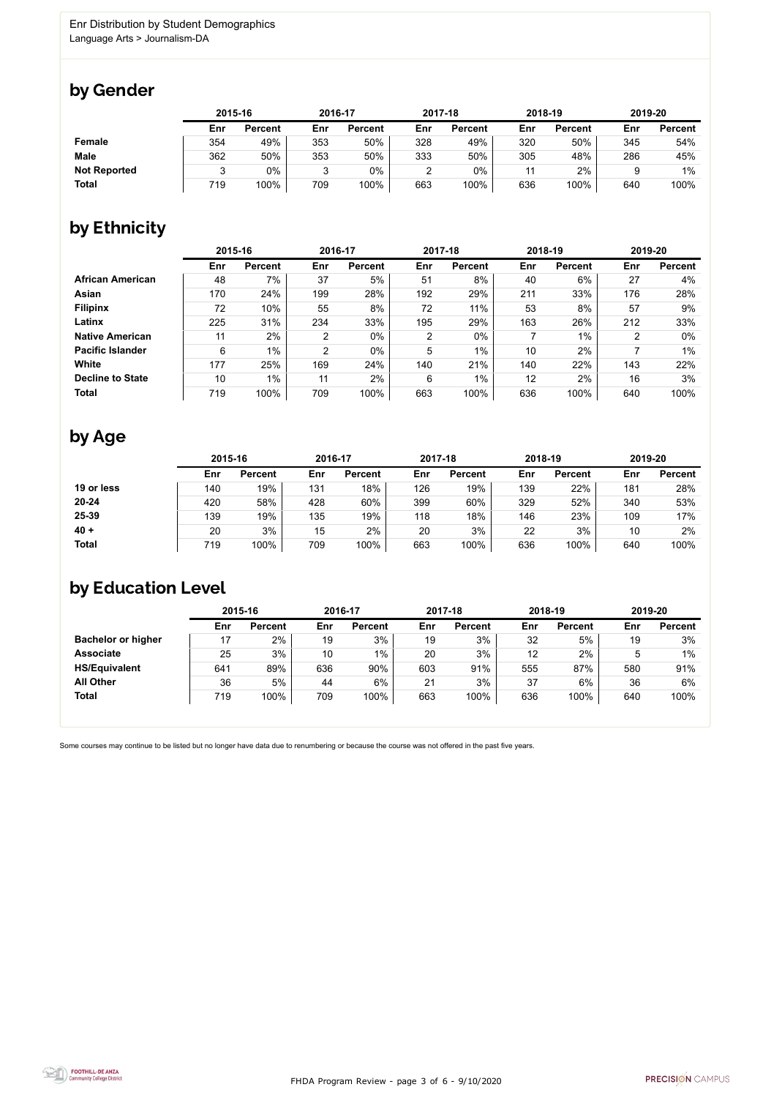

Some courses may continue to be listed but no longer have data due to renumbering or because the course was not offered in the past five years.



### by Gender

|                     | 2015-16 |                |        | 2016-17        |        | 2017-18        | 2018-19 |                | 2019-20 |                |
|---------------------|---------|----------------|--------|----------------|--------|----------------|---------|----------------|---------|----------------|
|                     | Enr     | <b>Percent</b> | Enr    | <b>Percent</b> | Enr    | <b>Percent</b> | Enr     | <b>Percent</b> | Enr     | <b>Percent</b> |
| Female              | 354     | 49%            | 353    | 50%            | 328    | 49%            | 320     | 50%            | 345     | 54%            |
| <b>Male</b>         | 362     | 50%            | 353    | 50%            | 333    | 50%            | 305     | 48%            | 286     | 45%            |
| <b>Not Reported</b> |         | 0%             | ঽ<br>ບ | 0%             | ◠<br>∼ | 0%             | 11      | 2%             |         | $1\%$          |
| <b>Total</b>        | 719     | 100%           | 709    | 100%           | 663    | 100%           | 636     | 100%           | 640     | 100%           |

## by Ethnicity

|                         |     | 2015-16        |                | 2016-17        |                | 2017-18        |     | 2018-19        | 2019-20 |                |
|-------------------------|-----|----------------|----------------|----------------|----------------|----------------|-----|----------------|---------|----------------|
|                         | Enr | <b>Percent</b> | Enr            | <b>Percent</b> | Enr            | <b>Percent</b> | Enr | <b>Percent</b> | Enr     | <b>Percent</b> |
| <b>African American</b> | 48  | 7%             | 37             | 5%             | 51             | 8%             | 40  | 6%             | 27      | 4%             |
| <b>Asian</b>            | 170 | 24%            | 199            | 28%            | 192            | 29%            | 211 | 33%            | 176     | 28%            |
| <b>Filipinx</b>         | 72  | 10%            | 55             | 8%             | 72             | 11%            | 53  | 8%             | 57      | 9%             |
| Latinx                  | 225 | 31%            | 234            | 33%            | 195            | 29%            | 163 | 26%            | 212     | 33%            |
| <b>Native American</b>  | 11  | 2%             | $\overline{2}$ | $0\%$          | $\overline{2}$ | $0\%$          |     | 1%             | 2       | $0\%$          |
| <b>Pacific Islander</b> | 6   | 1%             | 2              | $0\%$          | 5              | $1\%$          | 10  | 2%             |         | $1\%$          |
| <b>White</b>            | 177 | 25%            | 169            | 24%            | 140            | 21%            | 140 | 22%            | 143     | 22%            |
| <b>Decline to State</b> | 10  | 1%             | 11             | 2%             | 6              | $1\%$          | 12  | 2%             | 16      | 3%             |
| <b>Total</b>            | 719 | 100%           | 709            | 100%           | 663            | 100%           | 636 | 100%           | 640     | 100%           |

### by Age

|              | 2015-16 |                |     | 2016-17        |     | 2017-18        | 2018-19 |                | 2019-20 |                |
|--------------|---------|----------------|-----|----------------|-----|----------------|---------|----------------|---------|----------------|
|              | Enr     | <b>Percent</b> | Enr | <b>Percent</b> | Enr | <b>Percent</b> | Enr     | <b>Percent</b> | Enr     | <b>Percent</b> |
| 19 or less   | 140     | 19%            | 131 | 18%            | 126 | 19%            | 139     | 22%            | 181     | 28%            |
| $20 - 24$    | 420     | 58%            | 428 | 60%            | 399 | 60%            | 329     | 52%            | 340     | 53%            |
| 25-39        | 139     | 19%            | 135 | 19%            | 118 | 18%            | 146     | 23%            | 109     | 17%            |
| $40 +$       | 20      | 3%             | 15  | 2%             | 20  | 3%             | 22      | 3%             | 10      | 2%             |
| <b>Total</b> | 719     | 100%           | 709 | 100%           | 663 | 100%           | 636     | 100%           | 640     | 100%           |

## by Education Level

|                           | 2015-16 |                |     | 2016-17        |     | 2017-18        |     | 2018-19        | 2019-20 |                |
|---------------------------|---------|----------------|-----|----------------|-----|----------------|-----|----------------|---------|----------------|
|                           | Enr     | <b>Percent</b> | Enr | <b>Percent</b> | Enr | <b>Percent</b> | Enr | <b>Percent</b> | Enr     | <b>Percent</b> |
| <b>Bachelor or higher</b> | 17      | 2%             | 19  | 3%             | 19  | 3%             | 32  | 5%             | 19      | 3%             |
| <b>Associate</b>          | 25      | 3%             | 10  | $1\%$          | 20  | 3%             | 12  | 2%             | ხ       | $1\%$          |
| <b>HS/Equivalent</b>      | 641     | 89%            | 636 | 90%            | 603 | 91%            | 555 | 87%            | 580     | 91%            |
| <b>All Other</b>          | 36      | 5%             | 44  | 6%             | 21  | 3%             | 37  | 6%             | 36      | 6%             |
| <b>Total</b>              | 719     | 100%           | 709 | 100%           | 663 | 100%           | 636 | 100%           | 640     | 100%           |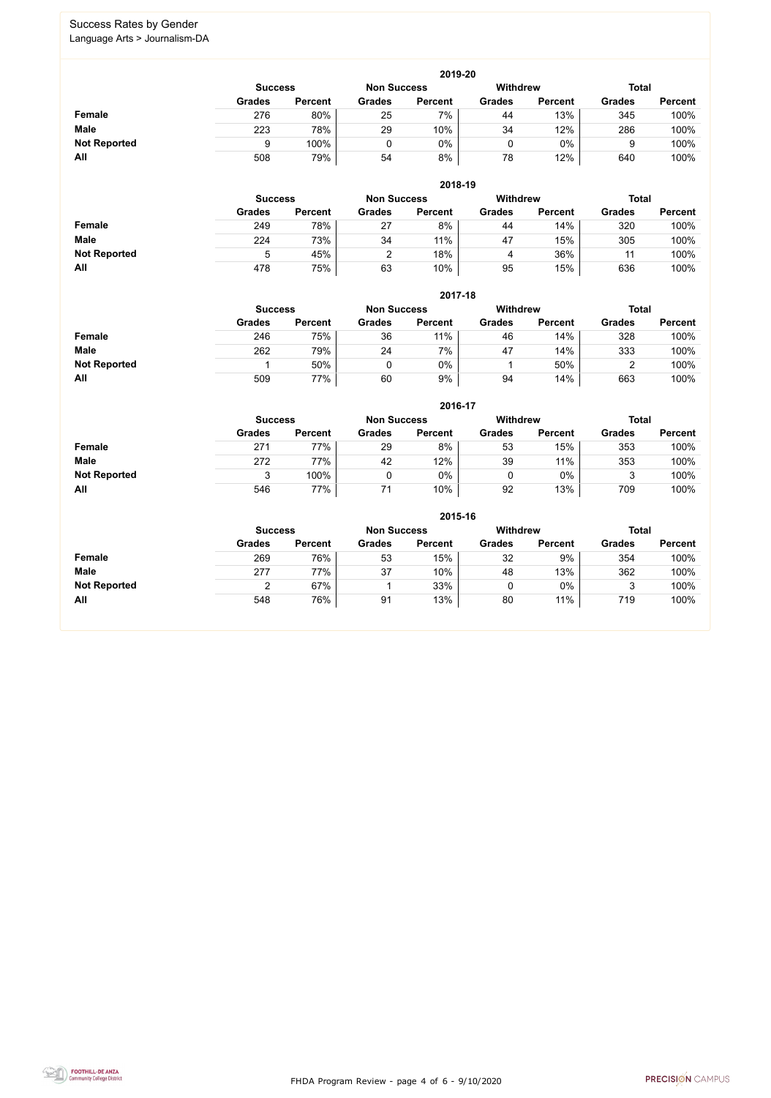FHDA Program Review - page 4 of 6 - 9/10/2020



# Success Rates by Gender

|                     | 2019-20                                                                 |                |               |                |               |                |               |                |  |  |  |  |  |
|---------------------|-------------------------------------------------------------------------|----------------|---------------|----------------|---------------|----------------|---------------|----------------|--|--|--|--|--|
|                     | <b>Withdrew</b><br><b>Total</b><br><b>Non Success</b><br><b>Success</b> |                |               |                |               |                |               |                |  |  |  |  |  |
|                     | <b>Grades</b>                                                           | <b>Percent</b> | <b>Grades</b> | <b>Percent</b> | <b>Grades</b> | <b>Percent</b> | <b>Grades</b> | <b>Percent</b> |  |  |  |  |  |
| Female              | 276                                                                     | 80%            | 25            | 7%             | 44            | 13%            | 345           | 100%           |  |  |  |  |  |
| <b>Male</b>         | 223                                                                     | 78%            | 29            | 10%            | 34            | 12%            | 286           | 100%           |  |  |  |  |  |
| <b>Not Reported</b> |                                                                         | 100%           |               | 0%             |               | $0\%$          |               | 100%           |  |  |  |  |  |
| All                 | 508                                                                     | 79%            | 54            | 8%             | 78            | 12%            | 640           | 100%           |  |  |  |  |  |

|                     |                | 2018-19        |                    |                 |               |                |               |                |  |  |  |  |  |  |
|---------------------|----------------|----------------|--------------------|-----------------|---------------|----------------|---------------|----------------|--|--|--|--|--|--|
|                     | <b>Success</b> |                | <b>Non Success</b> | <b>Withdrew</b> |               |                | <b>Total</b>  |                |  |  |  |  |  |  |
|                     | <b>Grades</b>  | <b>Percent</b> | <b>Grades</b>      | <b>Percent</b>  | <b>Grades</b> | <b>Percent</b> | <b>Grades</b> | <b>Percent</b> |  |  |  |  |  |  |
| <b>Female</b>       | 249            | 78%            | 27                 | 8%              | 44            | 14%            | 320           | 100%           |  |  |  |  |  |  |
| <b>Male</b>         | 224            | 73%            | 34                 | 11%             | 47            | 15%            | 305           | 100%           |  |  |  |  |  |  |
| <b>Not Reported</b> | ხ              | 45%            |                    | 18%             | 4             | 36%            | 11            | 100%           |  |  |  |  |  |  |
| All                 | 478            | 75%            | 63                 | 10%             | 95            | 15%            | 636           | 100%           |  |  |  |  |  |  |

|                     |               | 2017-18                                                                 |               |                |               |                |               |                |  |  |  |  |  |  |
|---------------------|---------------|-------------------------------------------------------------------------|---------------|----------------|---------------|----------------|---------------|----------------|--|--|--|--|--|--|
|                     |               | <b>Withdrew</b><br><b>Total</b><br><b>Non Success</b><br><b>Success</b> |               |                |               |                |               |                |  |  |  |  |  |  |
|                     | <b>Grades</b> | <b>Percent</b>                                                          | <b>Grades</b> | <b>Percent</b> | <b>Grades</b> | <b>Percent</b> | <b>Grades</b> | <b>Percent</b> |  |  |  |  |  |  |
| <b>Female</b>       | 246           | 75%                                                                     | 36            | 11%            | 46            | 14%            | 328           | 100%           |  |  |  |  |  |  |
| <b>Male</b>         | 262           | 79%                                                                     | 24            | 7%             | 47            | 14%            | 333           | 100%           |  |  |  |  |  |  |
| <b>Not Reported</b> |               | 50%                                                                     |               | 0%             |               | 50%            |               | 100%           |  |  |  |  |  |  |
| All                 | 509           | 77%                                                                     | 60            | 9%             | 94            | 14%            | 663           | 100%           |  |  |  |  |  |  |

|                     |                                                         |                |               | 2016-17        |               |                |               |                |
|---------------------|---------------------------------------------------------|----------------|---------------|----------------|---------------|----------------|---------------|----------------|
|                     | <b>Withdrew</b><br><b>Non Success</b><br><b>Success</b> |                |               |                |               |                | <b>Total</b>  |                |
|                     | <b>Grades</b>                                           | <b>Percent</b> | <b>Grades</b> | <b>Percent</b> | <b>Grades</b> | <b>Percent</b> | <b>Grades</b> | <b>Percent</b> |
| <b>Female</b>       | 271                                                     | 77%            | 29            | 8%             | 53            | 15%            | 353           | 100%           |
| <b>Male</b>         | 272                                                     | 77%            | 42            | 12%            | 39            | 11%            | 353           | 100%           |
| <b>Not Reported</b> |                                                         | 100%           |               | 0%             |               | $0\%$          | 3             | 100%           |
| All                 | 546                                                     | 77%            | 71            | 10%            | 92            | 13%            | 709           | 100%           |

|                     |               |                                                                  |               | 2015-16        |               |                |               |                |
|---------------------|---------------|------------------------------------------------------------------|---------------|----------------|---------------|----------------|---------------|----------------|
|                     |               | Withdrew<br><b>Total</b><br><b>Non Success</b><br><b>Success</b> |               |                |               |                |               |                |
|                     | <b>Grades</b> | <b>Percent</b>                                                   | <b>Grades</b> | <b>Percent</b> | <b>Grades</b> | <b>Percent</b> | <b>Grades</b> | <b>Percent</b> |
| Female              | 269           | 76%                                                              | 53            | 15%            | 32            | 9%             | 354           | 100%           |
| <b>Male</b>         | 277           | 77%                                                              | 37            | 10%            | 48            | 13%            | 362           | 100%           |
| <b>Not Reported</b> |               | 67%                                                              |               | 33%            | 0             | $0\%$          | 3             | 100%           |
| All                 | 548           | 76%                                                              | 91            | 13%            | 80            | 11%            | 719           | 100%           |

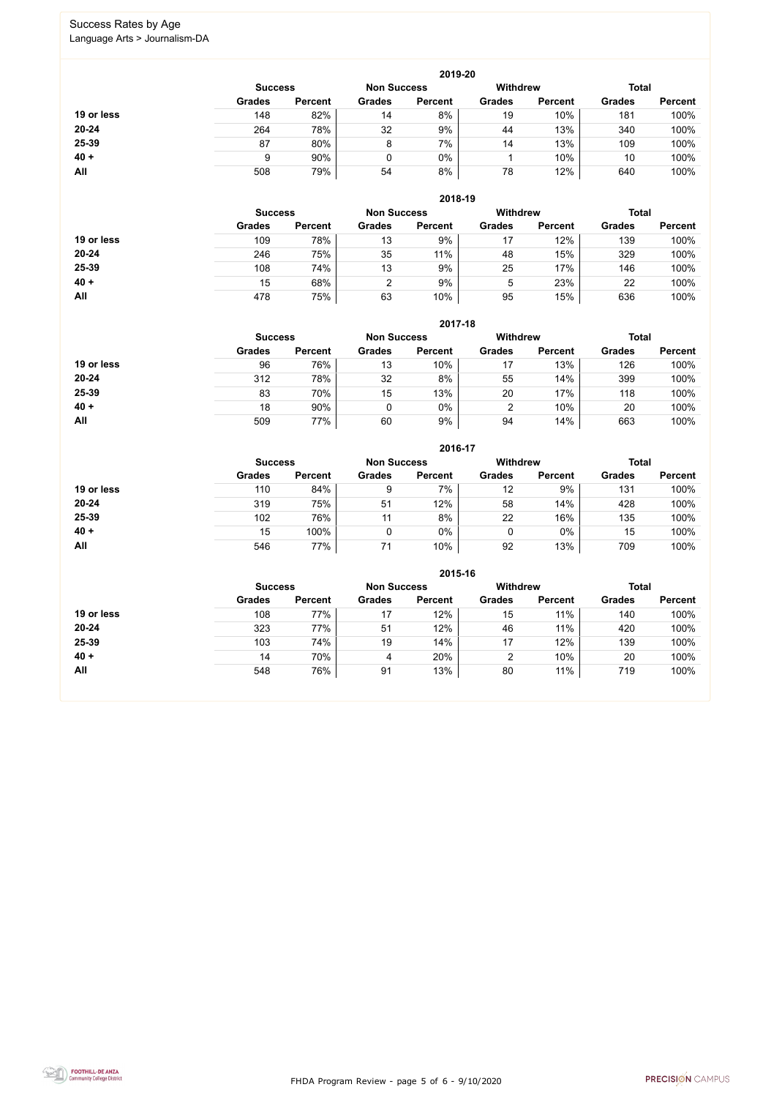FHDA Program Review - page 5 of 6 - 9/10/2020



# Success Rates by Age

|            |                |                |                    | 2019-20        |                 |                |               |                |
|------------|----------------|----------------|--------------------|----------------|-----------------|----------------|---------------|----------------|
|            | <b>Success</b> |                | <b>Non Success</b> |                | <b>Withdrew</b> |                | <b>Total</b>  |                |
|            | <b>Grades</b>  | <b>Percent</b> | <b>Grades</b>      | <b>Percent</b> | <b>Grades</b>   | <b>Percent</b> | <b>Grades</b> | <b>Percent</b> |
| 19 or less | 148            | 82%            | 14                 | 8%             | 19              | 10%            | 181           | 100%           |
| $20 - 24$  | 264            | 78%            | 32                 | 9%             | 44              | 13%            | 340           | 100%           |
| 25-39      | 87             | 80%            | 8                  | 7%             | 14              | 13%            | 109           | 100%           |
| $40 +$     |                | 90%            | 0                  | 0%             |                 | 10%            | 10            | 100%           |
| All        | 508            | 79%            | 54                 | 8%             | 78              | 12%            | 640           | 100%           |

|            |                |                |                    | 2018-19        |                 |                |               |                |
|------------|----------------|----------------|--------------------|----------------|-----------------|----------------|---------------|----------------|
|            | <b>Success</b> |                | <b>Non Success</b> |                | <b>Withdrew</b> |                | <b>Total</b>  |                |
|            | <b>Grades</b>  | <b>Percent</b> | <b>Grades</b>      | <b>Percent</b> | <b>Grades</b>   | <b>Percent</b> | <b>Grades</b> | <b>Percent</b> |
| 19 or less | 109            | 78%            | 13                 | 9%             | 17              | 12%            | 139           | 100%           |
| $20 - 24$  | 246            | 75%            | 35                 | 11%            | 48              | 15%            | 329           | 100%           |
| 25-39      | 108            | 74%            | 13                 | 9%             | 25              | 17%            | 146           | 100%           |
| $40 +$     | 15             | 68%            | 2                  | 9%             | 5               | 23%            | 22            | 100%           |
| All        | 478            | 75%            | 63                 | 10%            | 95              | 15%            | 636           | 100%           |

|            |                                      |                |               | 2017-18        |               |                 |               |                |
|------------|--------------------------------------|----------------|---------------|----------------|---------------|-----------------|---------------|----------------|
|            | <b>Non Success</b><br><b>Success</b> |                |               |                |               | <b>Withdrew</b> | <b>Total</b>  |                |
|            | <b>Grades</b>                        | <b>Percent</b> | <b>Grades</b> | <b>Percent</b> | <b>Grades</b> | <b>Percent</b>  | <b>Grades</b> | <b>Percent</b> |
| 19 or less | 96                                   | 76%            | 13            | 10%            |               | 13%             | 126           | 100%           |
| $20 - 24$  | 312                                  | 78%            | 32            | 8%             | 55            | 14%             | 399           | 100%           |
| 25-39      | 83                                   | 70%            | 15            | 13%            | 20            | 17%             | 118           | 100%           |
| $40 +$     | 18                                   | 90%            | $\mathbf 0$   | 0%             | 2             | 10%             | 20            | 100%           |
| All        | 509                                  | 77%            | 60            | 9%             | 94            | 14%             | 663           | 100%           |

|            |                |                    |               | 2016-17         |               |                |               |                |
|------------|----------------|--------------------|---------------|-----------------|---------------|----------------|---------------|----------------|
|            | <b>Success</b> | <b>Non Success</b> |               | <b>Withdrew</b> |               | <b>Total</b>   |               |                |
|            | <b>Grades</b>  | <b>Percent</b>     | <b>Grades</b> | <b>Percent</b>  | <b>Grades</b> | <b>Percent</b> | <b>Grades</b> | <b>Percent</b> |
| 19 or less | 110            | 84%                | 9             | 7%              | 12            | 9%             | 131           | 100%           |
| 20-24      | 319            | 75%                | 51            | 12%             | 58            | 14%            | 428           | 100%           |
| 25-39      | 102            | 76%                | 11            | 8%              | 22            | 16%            | 135           | 100%           |
| $40 +$     | 15             | 100%               | 0             | $0\%$           | 0             | $0\%$          | 15            | 100%           |
| <b>All</b> | 546            | 77%                | 71            | 10%             | 92            | 13%            | 709           | 100%           |

|            |                |                    |               | 2015-16         |               |                |               |                |
|------------|----------------|--------------------|---------------|-----------------|---------------|----------------|---------------|----------------|
|            | <b>Success</b> | <b>Non Success</b> |               | <b>Withdrew</b> |               | <b>Total</b>   |               |                |
|            | <b>Grades</b>  | <b>Percent</b>     | <b>Grades</b> | <b>Percent</b>  | <b>Grades</b> | <b>Percent</b> | <b>Grades</b> | <b>Percent</b> |
| 19 or less | 108            | 77%                | 17            | 12%             | 15            | 11%            | 140           | 100%           |
| $20 - 24$  | 323            | 77%                | 51            | 12%             | 46            | 11%            | 420           | 100%           |
| 25-39      | 103            | 74%                | 19            | 14%             | 17            | 12%            | 139           | 100%           |
| $40 +$     | 14             | 70%                | 4             | 20%             | 2             | 10%            | 20            | 100%           |
| All        | 548            | 76%                | 91            | 13%             | 80            | 11%            | 719           | 100%           |